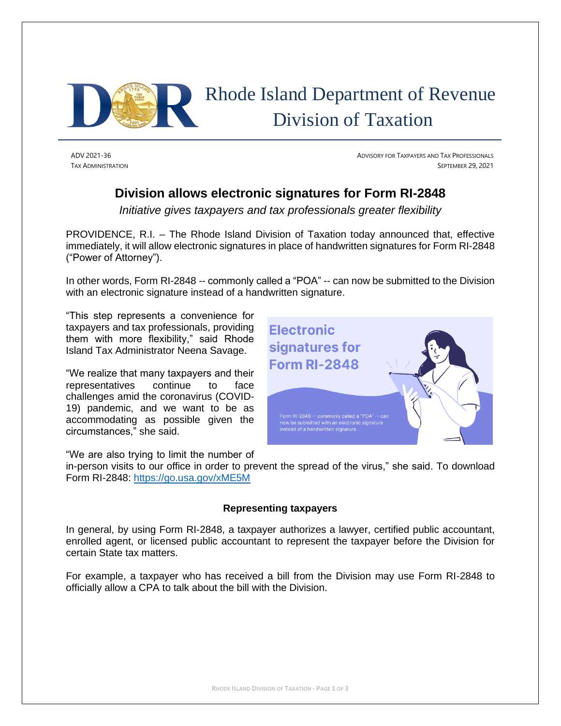

# Rhode Island Department of Revenue Division of Taxation

ADV 2021-36 ADVISORY FOR TAXPAYERS AND TAX PROFESSIONALS TAX ADMINISTRATION SEPTEMBER 29, 2021

# **Division allows electronic signatures for Form RI-2848**

*Initiative gives taxpayers and tax professionals greater flexibility*

PROVIDENCE, R.I. – The Rhode Island Division of Taxation today announced that, effective immediately, it will allow electronic signatures in place of handwritten signatures for Form RI-2848 ("Power of Attorney").

In other words, Form RI-2848 -- commonly called a "POA" -- can now be submitted to the Division with an electronic signature instead of a handwritten signature.

"This step represents a convenience for taxpayers and tax professionals, providing them with more flexibility," said Rhode Island Tax Administrator Neena Savage.

"We realize that many taxpayers and their representatives continue to face challenges amid the coronavirus (COVID-19) pandemic, and we want to be as accommodating as possible given the circumstances," she said.

"We are also trying to limit the number of

in-person visits to our office in order to prevent the spread of the virus," she said. To download Form RI-2848:<https://go.usa.gov/xME5M>

## **Representing taxpayers**

In general, by using Form RI-2848, a taxpayer authorizes a lawyer, certified public accountant, enrolled agent, or licensed public accountant to represent the taxpayer before the Division for certain State tax matters.

For example, a taxpayer who has received a bill from the Division may use Form RI-2848 to officially allow a CPA to talk about the bill with the Division.

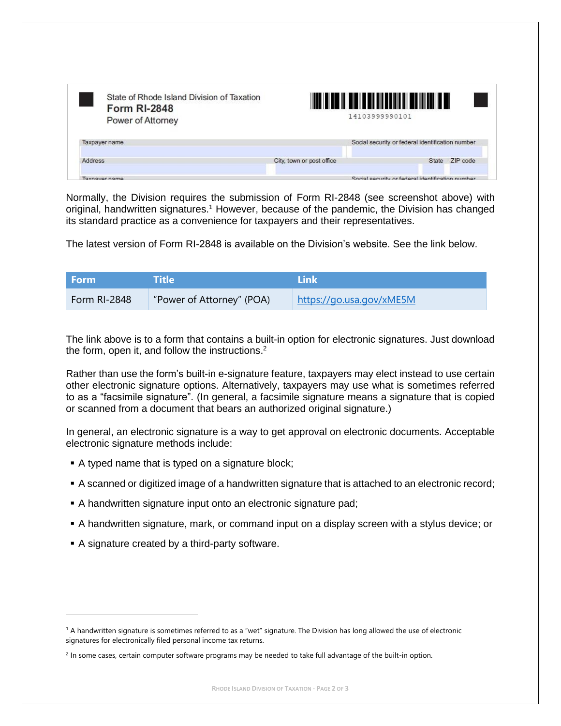|                           | Social security or federal identification number |
|---------------------------|--------------------------------------------------|
| City, town or post office | ZIP code<br>State                                |
|                           | 14103999990101                                   |

Normally, the Division requires the submission of Form RI-2848 (see screenshot above) with original, handwritten signatures.<sup>1</sup> However, because of the pandemic, the Division has changed its standard practice as a convenience for taxpayers and their representatives.

The latest version of Form RI-2848 is available on the Division's website. See the link below.

| l Form i     | Title                     | l ink                    |
|--------------|---------------------------|--------------------------|
| Form RI-2848 | "Power of Attorney" (POA) | https://go.usa.gov/xME5M |

The link above is to a form that contains a built-in option for electronic signatures. Just download the form, open it, and follow the instructions.<sup>2</sup>

Rather than use the form's built-in e-signature feature, taxpayers may elect instead to use certain other electronic signature options. Alternatively, taxpayers may use what is sometimes referred to as a "facsimile signature". (In general, a facsimile signature means a signature that is copied or scanned from a document that bears an authorized original signature.)

In general, an electronic signature is a way to get approval on electronic documents. Acceptable electronic signature methods include:

- A typed name that is typed on a signature block;
- A scanned or digitized image of a handwritten signature that is attached to an electronic record;
- A handwritten signature input onto an electronic signature pad;
- **•** A handwritten signature, mark, or command input on a display screen with a stylus device; or
- A signature created by a third-party software.

<sup>&</sup>lt;sup>1</sup> A handwritten signature is sometimes referred to as a "wet" signature. The Division has long allowed the use of electronic signatures for electronically filed personal income tax returns.

<sup>&</sup>lt;sup>2</sup> In some cases, certain computer software programs may be needed to take full advantage of the built-in option.